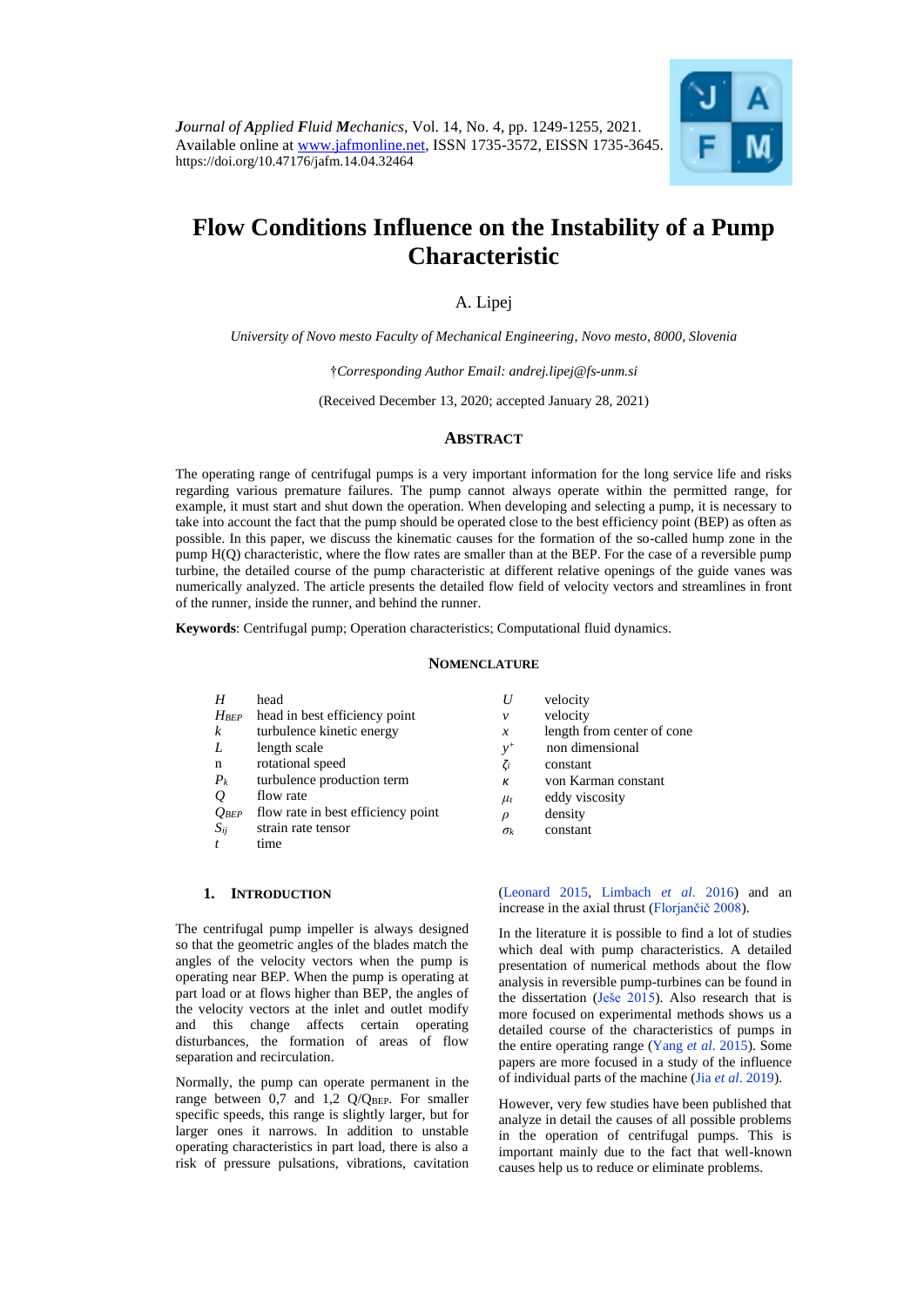

# **Flow Conditions Influence on the Instability of a Pump Characteristic**

A. Lipej

*University of Novo mesto Faculty of Mechanical Engineering, Novo mesto, 8000, Slovenia*

†*Corresponding Author Email: [andrej.lipej@fs-unm.si](mailto:andrej.lipej@fs-unm.si)*

(Received December 13, 2020; accepted January 28, 2021)

## **ABSTRACT**

The operating range of centrifugal pumps is a very important information for the long service life and risks regarding various premature failures. The pump cannot always operate within the permitted range, for example, it must start and shut down the operation. When developing and selecting a pump, it is necessary to take into account the fact that the pump should be operated close to the best efficiency point (BEP) as often as possible. In this paper, we discuss the kinematic causes for the formation of the so-called hump zone in the pump H(Q) characteristic, where the flow rates are smaller than at the BEP. For the case of a reversible pump turbine, the detailed course of the pump characteristic at different relative openings of the guide vanes was numerically analyzed. The article presents the detailed flow field of velocity vectors and streamlines in front of the runner, inside the runner, and behind the runner.

**Keywords**: Centrifugal pump; Operation characteristics; Computational fluid dynamics.

#### **NOMENCLATURE**

| head                               | U             | velocity                   |
|------------------------------------|---------------|----------------------------|
| head in best efficiency point      | v             | velocity                   |
| turbulence kinetic energy          | $\mathcal{X}$ | length from center of cone |
| length scale                       | $v^+$         | non dimensional            |
| rotational speed                   | $\zeta_i$     | constant                   |
| turbulence production term         | К             | von Karman constant        |
| flow rate                          | $\mu_t$       | eddy viscosity             |
| flow rate in best efficiency point | $\rho$        | density                    |
| strain rate tensor                 | $\sigma_k$    | constant                   |
| time                               |               |                            |
|                                    |               |                            |

## **1. INTRODUCTION**

The centrifugal pump impeller is always designed so that the geometric angles of the blades match the angles of the velocity vectors when the pump is operating near BEP. When the pump is operating at part load or at flows higher than BEP, the angles of the velocity vectors at the inlet and outlet modify and this change affects certain operating disturbances, the formation of areas of flow separation and recirculation.

Normally, the pump can operate permanent in the range between  $0,\overline{7}$  and  $1,2$  Q/QBEP. For smaller specific speeds, this range is slightly larger, but for larger ones it narrows. In addition to unstable operating characteristics in part load, there is also a risk of pressure pulsations, vibrations, cavitation [\(Leonard 2015,](#page-6-0) [Limbach](#page-6-1) *et al*. 2016) and an increase in the axial thrust [\(Florjančič 2008\)](#page-6-2).

In the literature it is possible to find a lot of studies which deal with pump characteristics. A detailed presentation of numerical methods about the flow analysis in reversible pump-turbines can be found in the dissertation (Ješe 2015). Also research that is more focused on experimental methods shows us a detailed course of the characteristics of pumps in the entire operating range (Yang *et al*[. 2015\)](#page-6-3). Some papers are more focused in a study of the influence of individual parts of the machine (Jia *et al*. 2019).

However, very few studies have been published that analyze in detail the causes of all possible problems in the operation of centrifugal pumps. This is important mainly due to the fact that well-known causes help us to reduce or eliminate problems.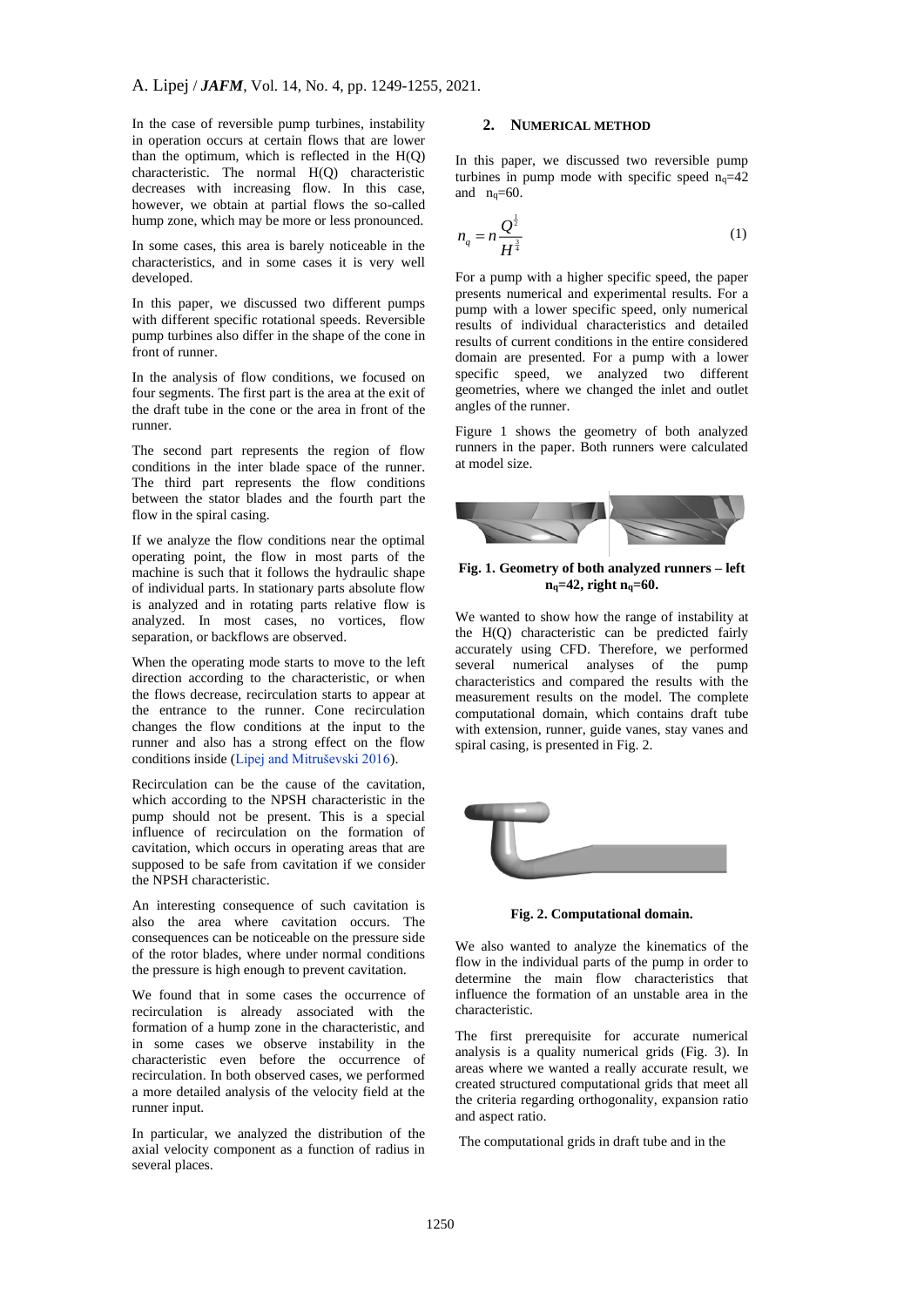In the case of reversible pump turbines, instability in operation occurs at certain flows that are lower than the optimum, which is reflected in the  $H(Q)$ characteristic. The normal H(Q) characteristic decreases with increasing flow. In this case, however, we obtain at partial flows the so-called hump zone, which may be more or less pronounced.

In some cases, this area is barely noticeable in the characteristics, and in some cases it is very well developed.

In this paper, we discussed two different pumps with different specific rotational speeds. Reversible pump turbines also differ in the shape of the cone in front of runner.

In the analysis of flow conditions, we focused on four segments. The first part is the area at the exit of the draft tube in the cone or the area in front of the runner.

The second part represents the region of flow conditions in the inter blade space of the runner. The third part represents the flow conditions between the stator blades and the fourth part the flow in the spiral casing.

If we analyze the flow conditions near the optimal operating point, the flow in most parts of the machine is such that it follows the hydraulic shape of individual parts. In stationary parts absolute flow is analyzed and in rotating parts relative flow is analyzed. In most cases, no vortices, flow separation, or backflows are observed.

When the operating mode starts to move to the left direction according to the characteristic, or when the flows decrease, recirculation starts to appear at the entrance to the runner. Cone recirculation changes the flow conditions at the input to the runner and also has a strong effect on the flow conditions inside [\(Lipej and Mitruševski 2016\)](#page-6-4).

Recirculation can be the cause of the cavitation, which according to the NPSH characteristic in the pump should not be present. This is a special influence of recirculation on the formation of cavitation, which occurs in operating areas that are supposed to be safe from cavitation if we consider the NPSH characteristic.

An interesting consequence of such cavitation is also the area where cavitation occurs. The consequences can be noticeable on the pressure side of the rotor blades, where under normal conditions the pressure is high enough to prevent cavitation.

We found that in some cases the occurrence of recirculation is already associated with the formation of a hump zone in the characteristic, and in some cases we observe instability in the characteristic even before the occurrence of recirculation. In both observed cases, we performed a more detailed analysis of the velocity field at the runner input.

In particular, we analyzed the distribution of the axial velocity component as a function of radius in several places.

# **2. NUMERICAL METHOD**

In this paper, we discussed two reversible pump turbines in pump mode with specific speed  $n_q=42$ and  $n_q=60$ .

$$
n_q = n \frac{Q^{\frac{1}{2}}}{H^{\frac{3}{4}}} \tag{1}
$$

For a pump with a higher specific speed, the paper presents numerical and experimental results. For a pump with a lower specific speed, only numerical results of individual characteristics and detailed results of current conditions in the entire considered domain are presented. For a pump with a lower specific speed, we analyzed two different geometries, where we changed the inlet and outlet angles of the runner.

Figure 1 shows the geometry of both analyzed runners in the paper. Both runners were calculated at model size.



### **Fig. 1. Geometry of both analyzed runners – left nq=42, right nq=60.**

We wanted to show how the range of instability at the H(Q) characteristic can be predicted fairly accurately using CFD. Therefore, we performed several numerical analyses of the pump characteristics and compared the results with the measurement results on the model. The complete computational domain, which contains draft tube with extension, runner, guide vanes, stay vanes and spiral casing, is presented in Fig. 2.



**Fig. 2. Computational domain.**

We also wanted to analyze the kinematics of the flow in the individual parts of the pump in order to determine the main flow characteristics that influence the formation of an unstable area in the characteristic.

The first prerequisite for accurate numerical analysis is a quality numerical grids (Fig. 3). In areas where we wanted a really accurate result, we created structured computational grids that meet all the criteria regarding orthogonality, expansion ratio and aspect ratio.

The computational grids in draft tube and in the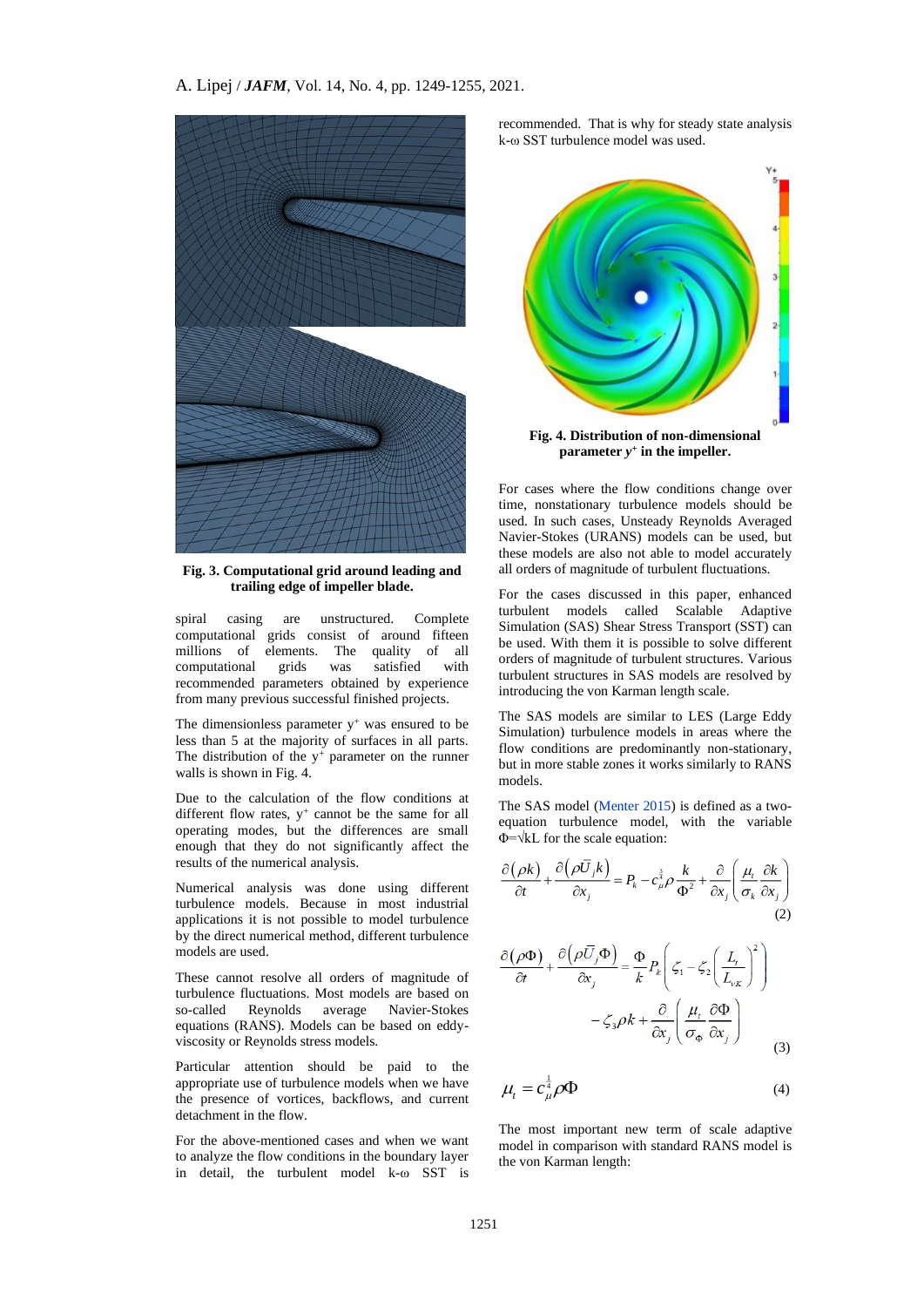

**Fig. 3. Computational grid around leading and trailing edge of impeller blade.**

spiral casing are unstructured. Complete computational grids consist of around fifteen millions of elements. The quality of all computational grids was satisfied with recommended parameters obtained by experience from many previous successful finished projects.

The dimensionless parameter  $y^+$  was ensured to be less than 5 at the majority of surfaces in all parts. The distribution of the  $y^{+}$  parameter on the runner walls is shown in Fig. 4.

Due to the calculation of the flow conditions at different flow rates,  $y^+$  cannot be the same for all operating modes, but the differences are small enough that they do not significantly affect the results of the numerical analysis.

Numerical analysis was done using different turbulence models. Because in most industrial applications it is not possible to model turbulence by the direct numerical method, different turbulence models are used.

These cannot resolve all orders of magnitude of turbulence fluctuations. Most models are based on so-called Reynolds average Navier-Stokes equations (RANS). Models can be based on eddyviscosity or Reynolds stress models.

Particular attention should be paid to the appropriate use of turbulence models when we have the presence of vortices, backflows, and current detachment in the flow.

For the above-mentioned cases and when we want to analyze the flow conditions in the boundary layer in detail, the turbulent model k-ω SST is

recommended. That is why for steady state analysis k-ω SST turbulence model was used.



**parameter** *y +* **in the impeller.**

For cases where the flow conditions change over time, nonstationary turbulence models should be used. In such cases, Unsteady Reynolds Averaged Navier-Stokes (URANS) models can be used, but these models are also not able to model accurately all orders of magnitude of turbulent fluctuations.

For the cases discussed in this paper, enhanced turbulent models called Scalable Adaptive Simulation (SAS) Shear Stress Transport (SST) can be used. With them it is possible to solve different orders of magnitude of turbulent structures. Various turbulent structures in SAS models are resolved by introducing the von Karman length scale.

The SAS models are similar to LES (Large Eddy Simulation) turbulence models in areas where the flow conditions are predominantly non-stationary, but in more stable zones it works similarly to RANS models.

The SAS model [\(Menter 2015\)](#page-6-5) is defined as a twoequation turbulence model, with the variable Φ=√kL for the scale equation:

$$
\frac{\partial(\rho k)}{\partial t} + \frac{\partial(\rho \bar{U}_j k)}{\partial x_j} = P_k - c_\mu^{\frac{3}{4}} \rho \frac{k}{\Phi^2} + \frac{\partial}{\partial x_j} \left( \frac{\mu_i}{\sigma_k} \frac{\partial k}{\partial x_j} \right)
$$
\n(2)

$$
\frac{\partial (\rho \Phi)}{\partial t} + \frac{\partial (\rho \overline{U}_j \Phi)}{\partial x_j} = \frac{\Phi}{k} P_k \left( \zeta_1 - \zeta_2 \left( \frac{L_t}{L_{vK}} \right)^2 \right)
$$

$$
- \zeta_3 \rho k + \frac{\partial}{\partial x_j} \left( \frac{\mu_t}{\sigma_{\Phi}} \frac{\partial \Phi}{\partial x_j} \right)
$$
(3)

$$
\mu_t = c_\mu^{\frac{1}{4}} \rho \Phi \tag{4}
$$

The most important new term of scale adaptive model in comparison with standard RANS model is the von Karman length: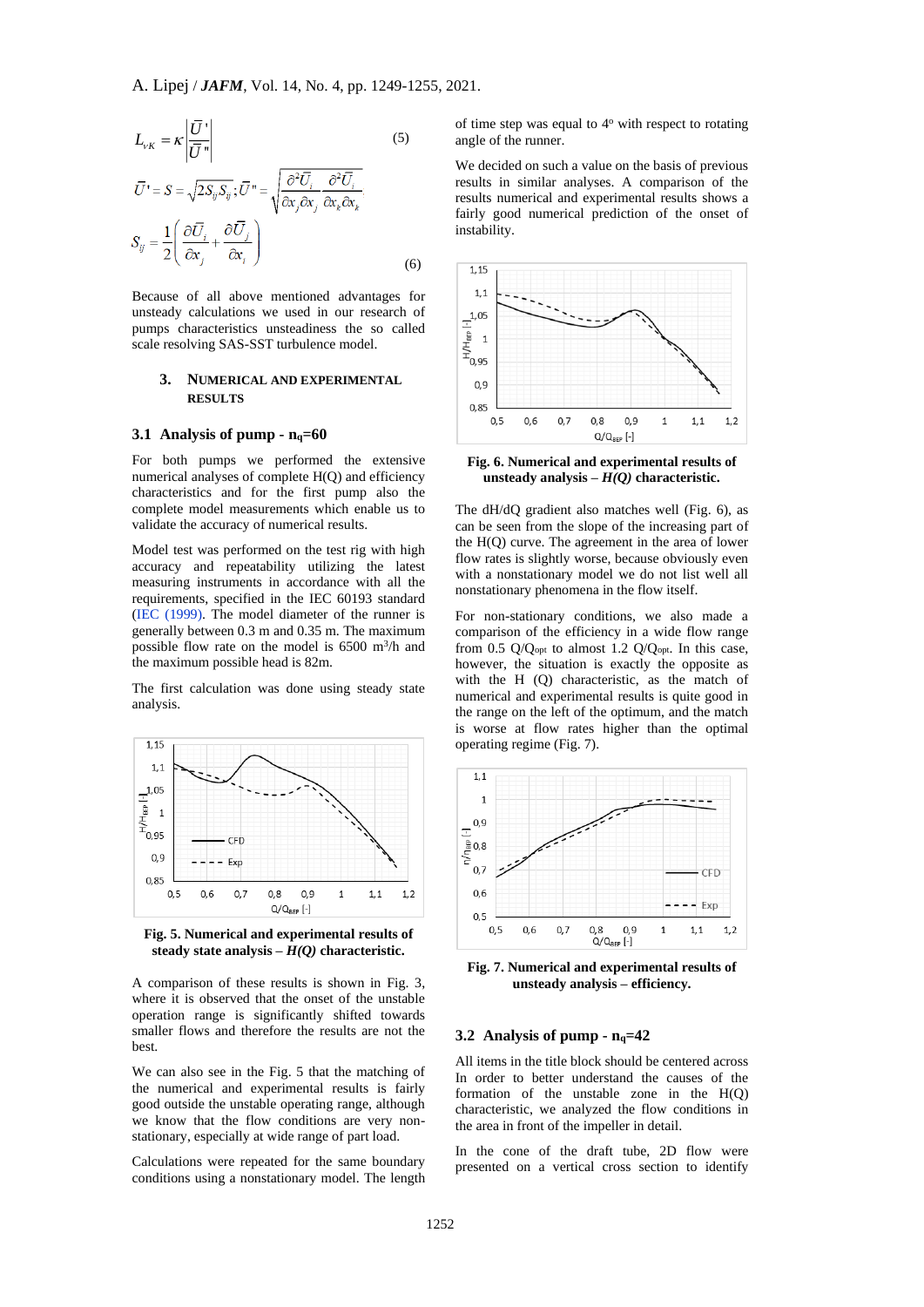$$
L_{vK} = \kappa \left| \frac{\overline{U} \cdot}{\overline{U} \cdot \overline{V}} \right|
$$
(5)  

$$
\overline{U} = S = \sqrt{2S_{ij}S_{ij}}; \overline{U} = \sqrt{\frac{\partial^2 \overline{U_i}}{\partial x_j \partial x_j} \frac{\partial^2 \overline{U_i}}{\partial x_k \partial x_k}}
$$
  

$$
S_{ij} = \frac{1}{2} \left( \frac{\partial \overline{U_i}}{\partial x_j} + \frac{\partial \overline{U_j}}{\partial x_i} \right)
$$
(6)

Because of all above mentioned advantages for unsteady calculations we used in our research of pumps characteristics unsteadiness the so called scale resolving SAS-SST turbulence model.

# **3. NUMERICAL AND EXPERIMENTAL RESULTS**

#### **3.1 Analysis of pump -**  $n_q = 60$

For both pumps we performed the extensive numerical analyses of complete H(Q) and efficiency characteristics and for the first pump also the complete model measurements which enable us to validate the accuracy of numerical results.

Model test was performed on the test rig with high accuracy and repeatability utilizing the latest measuring instruments in accordance with all the requirements, specified in the IEC 60193 standard [\(IEC \(1999\).](#page-6-6) The model diameter of the runner is generally between 0.3 m and 0.35 m. The maximum possible flow rate on the model is  $6500 \text{ m}^3/\text{h}$  and the maximum possible head is 82m.

The first calculation was done using steady state analysis.



**Fig. 5. Numerical and experimental results of steady state analysis –** *H(Q)* **characteristic.**

A comparison of these results is shown in Fig. 3, where it is observed that the onset of the unstable operation range is significantly shifted towards smaller flows and therefore the results are not the best.

We can also see in the Fig. 5 that the matching of the numerical and experimental results is fairly good outside the unstable operating range, although we know that the flow conditions are very nonstationary, especially at wide range of part load.

Calculations were repeated for the same boundary conditions using a nonstationary model. The length of time step was equal to 4<sup>o</sup> with respect to rotating angle of the runner.

We decided on such a value on the basis of previous results in similar analyses. A comparison of the results numerical and experimental results shows a fairly good numerical prediction of the onset of instability.



**Fig. 6. Numerical and experimental results of unsteady analysis –** *H(Q)* **characteristic.**

The dH/dQ gradient also matches well (Fig. 6), as can be seen from the slope of the increasing part of the H(Q) curve. The agreement in the area of lower flow rates is slightly worse, because obviously even with a nonstationary model we do not list well all nonstationary phenomena in the flow itself.

For non-stationary conditions, we also made a comparison of the efficiency in a wide flow range from 0.5  $Q/Q<sub>opt</sub>$  to almost 1.2  $Q/Q<sub>opt</sub>$ . In this case, however, the situation is exactly the opposite as with the H (Q) characteristic, as the match of numerical and experimental results is quite good in the range on the left of the optimum, and the match is worse at flow rates higher than the optimal operating regime (Fig. 7).



**Fig. 7. Numerical and experimental results of unsteady analysis – efficiency.**

#### **3.2 Analysis of pump - nq=42**

All items in the title block should be centered across In order to better understand the causes of the formation of the unstable zone in the H(Q) characteristic, we analyzed the flow conditions in the area in front of the impeller in detail.

In the cone of the draft tube, 2D flow were presented on a vertical cross section to identify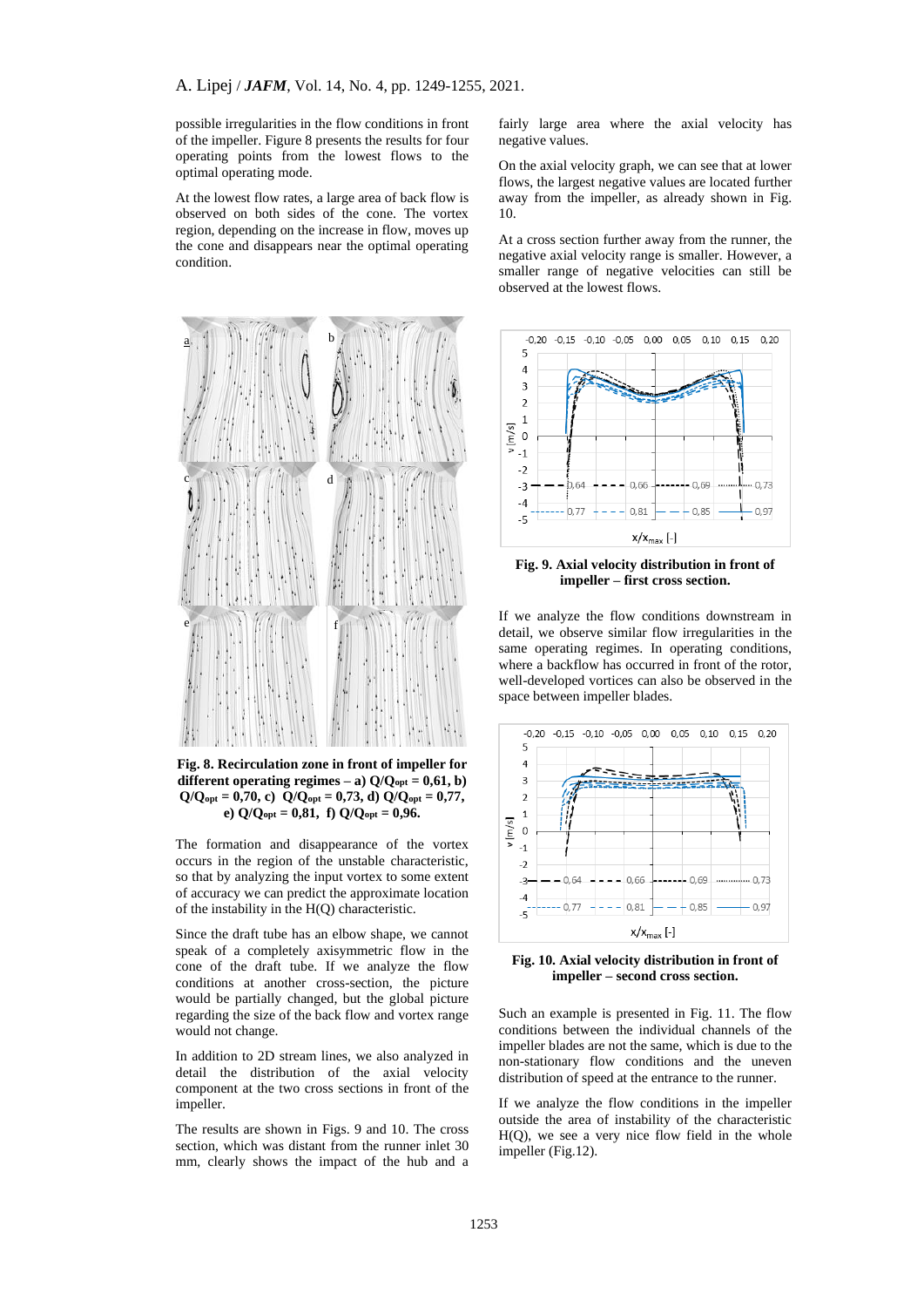possible irregularities in the flow conditions in front of the impeller. Figure 8 presents the results for four operating points from the lowest flows to the optimal operating mode.

At the lowest flow rates, a large area of back flow is observed on both sides of the cone. The vortex region, depending on the increase in flow, moves up the cone and disappears near the optimal operating condition.



**Fig. 8. Recirculation zone in front of impeller for different operating regimes** – **a**)  $Q/Q_{opt} = 0.61$ , **b**)  $Q/Q_{opt} = 0.70$ , c)  $Q/Q_{opt} = 0.73$ , d)  $Q/Q_{opt} = 0.77$ , **e) Q/Qopt = 0,81, f) Q/Qopt = 0,96.**

The formation and disappearance of the vortex occurs in the region of the unstable characteristic, so that by analyzing the input vortex to some extent of accuracy we can predict the approximate location of the instability in the H(Q) characteristic.

Since the draft tube has an elbow shape, we cannot speak of a completely axisymmetric flow in the cone of the draft tube. If we analyze the flow conditions at another cross-section, the picture would be partially changed, but the global picture regarding the size of the back flow and vortex range would not change.

In addition to 2D stream lines, we also analyzed in detail the distribution of the axial velocity component at the two cross sections in front of the impeller.

The results are shown in Figs. 9 and 10. The cross section, which was distant from the runner inlet 30 mm, clearly shows the impact of the hub and a fairly large area where the axial velocity has negative values.

On the axial velocity graph, we can see that at lower flows, the largest negative values are located further away from the impeller, as already shown in Fig. 10.

At a cross section further away from the runner, the negative axial velocity range is smaller. However, a smaller range of negative velocities can still be observed at the lowest flows.



**Fig. 9. Axial velocity distribution in front of impeller – first cross section.**

If we analyze the flow conditions downstream in detail, we observe similar flow irregularities in the same operating regimes. In operating conditions, where a backflow has occurred in front of the rotor, well-developed vortices can also be observed in the space between impeller blades.



**Fig. 10. Axial velocity distribution in front of impeller – second cross section.**

Such an example is presented in Fig. 11. The flow conditions between the individual channels of the impeller blades are not the same, which is due to the non-stationary flow conditions and the uneven distribution of speed at the entrance to the runner.

If we analyze the flow conditions in the impeller outside the area of instability of the characteristic H(Q), we see a very nice flow field in the whole impeller (Fig.12).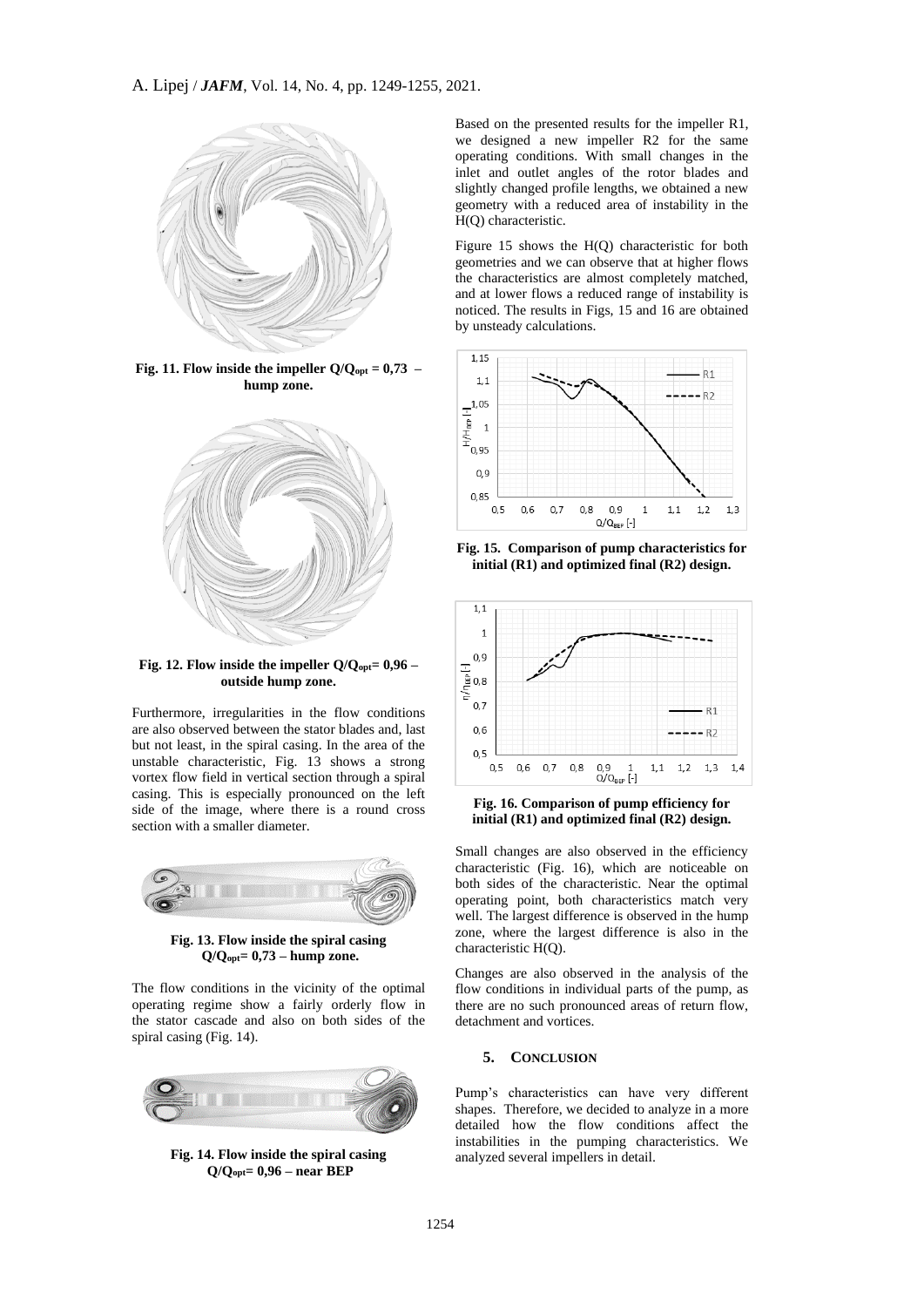

**Fig. 11. Flow inside the impeller**  $Q/Q_{opt} = 0.73$  **– hump zone.**



**Fig. 12. Flow inside the impeller Q/Qopt= 0,96 – outside hump zone.**

Furthermore, irregularities in the flow conditions are also observed between the stator blades and, last but not least, in the spiral casing. In the area of the unstable characteristic, Fig. 13 shows a strong vortex flow field in vertical section through a spiral casing. This is especially pronounced on the left side of the image, where there is a round cross section with a smaller diameter.



**Fig. 13. Flow inside the spiral casing Q/Qopt= 0,73 – hump zone.**

The flow conditions in the vicinity of the optimal operating regime show a fairly orderly flow in the stator cascade and also on both sides of the spiral casing (Fig. 14).



**Fig. 14. Flow inside the spiral casing Q/Qopt= 0,96 – near BEP**

Based on the presented results for the impeller R1, we designed a new impeller R2 for the same operating conditions. With small changes in the inlet and outlet angles of the rotor blades and slightly changed profile lengths, we obtained a new geometry with a reduced area of instability in the H(Q) characteristic.

Figure 15 shows the H(Q) characteristic for both geometries and we can observe that at higher flows the characteristics are almost completely matched, and at lower flows a reduced range of instability is noticed. The results in Figs, 15 and 16 are obtained by unsteady calculations.



**Fig. 15. Comparison of pump characteristics for initial (R1) and optimized final (R2) design.**



**Fig. 16. Comparison of pump efficiency for initial (R1) and optimized final (R2) design.**

Small changes are also observed in the efficiency characteristic (Fig. 16), which are noticeable on both sides of the characteristic. Near the optimal operating point, both characteristics match very well. The largest difference is observed in the hump zone, where the largest difference is also in the characteristic H(Q).

Changes are also observed in the analysis of the flow conditions in individual parts of the pump, as there are no such pronounced areas of return flow, detachment and vortices.

#### **5. CONCLUSION**

Pump's characteristics can have very different shapes. Therefore, we decided to analyze in a more detailed how the flow conditions affect the instabilities in the pumping characteristics. We analyzed several impellers in detail.